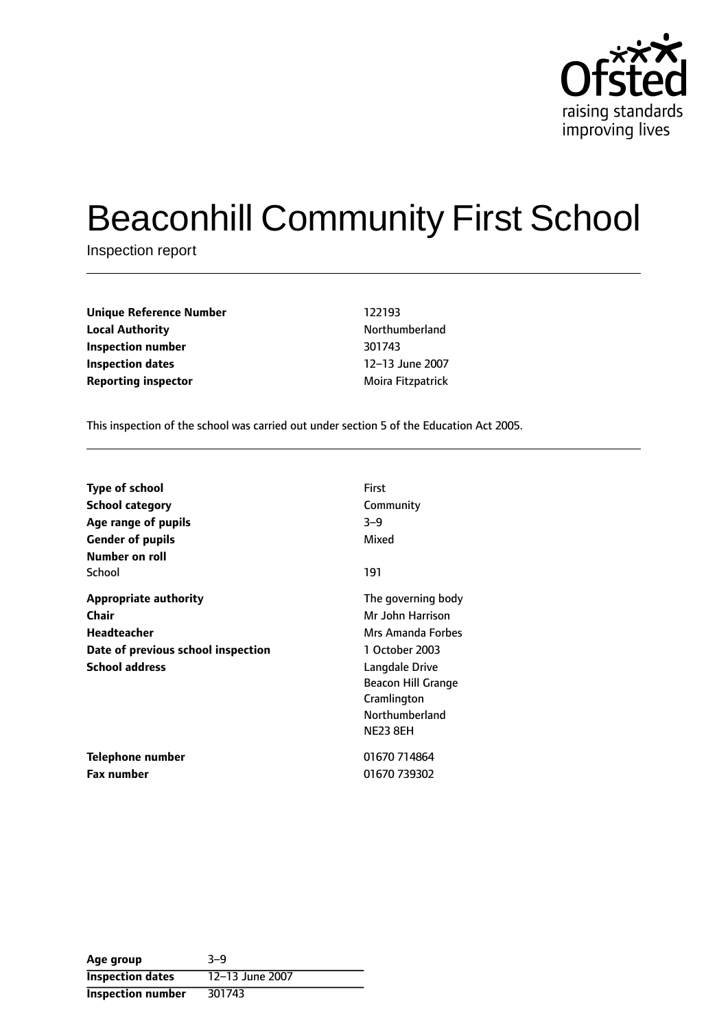

# Beaconhill Community First School

Inspection report

| <b>Unique Reference Number</b> | 122193      |
|--------------------------------|-------------|
| <b>Local Authority</b>         | Northu      |
| Inspection number              | 301743      |
| Inspection dates               | $12 - 13$ . |
| <b>Reporting inspector</b>     | Moira F     |

**Unique Reference Number** 122193 **Local Authority** Northumberland **12-13 June 2007 Reporting inspector** Moira Fitzpatrick

This inspection of the school was carried out under section 5 of the Education Act 2005.

| <b>Type of school</b><br><b>School category</b><br>Age range of pupils<br><b>Gender of pupils</b><br>Number on roll        | First<br>Community<br>$3 - 9$<br>Mixed                                                                                                                                    |
|----------------------------------------------------------------------------------------------------------------------------|---------------------------------------------------------------------------------------------------------------------------------------------------------------------------|
| School                                                                                                                     | 191                                                                                                                                                                       |
| <b>Appropriate authority</b><br>Chair<br><b>Headteacher</b><br>Date of previous school inspection<br><b>School address</b> | The governing body<br>Mr John Harrison<br>Mrs Amanda Forbes<br>1 October 2003<br>Langdale Drive<br>Beacon Hill Grange<br>Cramlington<br>Northumberland<br><b>NE23 8EH</b> |
| Telephone number                                                                                                           | 01670 714864                                                                                                                                                              |
| <b>Fax number</b>                                                                                                          | 01670 739302                                                                                                                                                              |

| Age group                | $3 - 9$         |
|--------------------------|-----------------|
| <b>Inspection dates</b>  | 12-13 June 2007 |
| <b>Inspection number</b> | 301743          |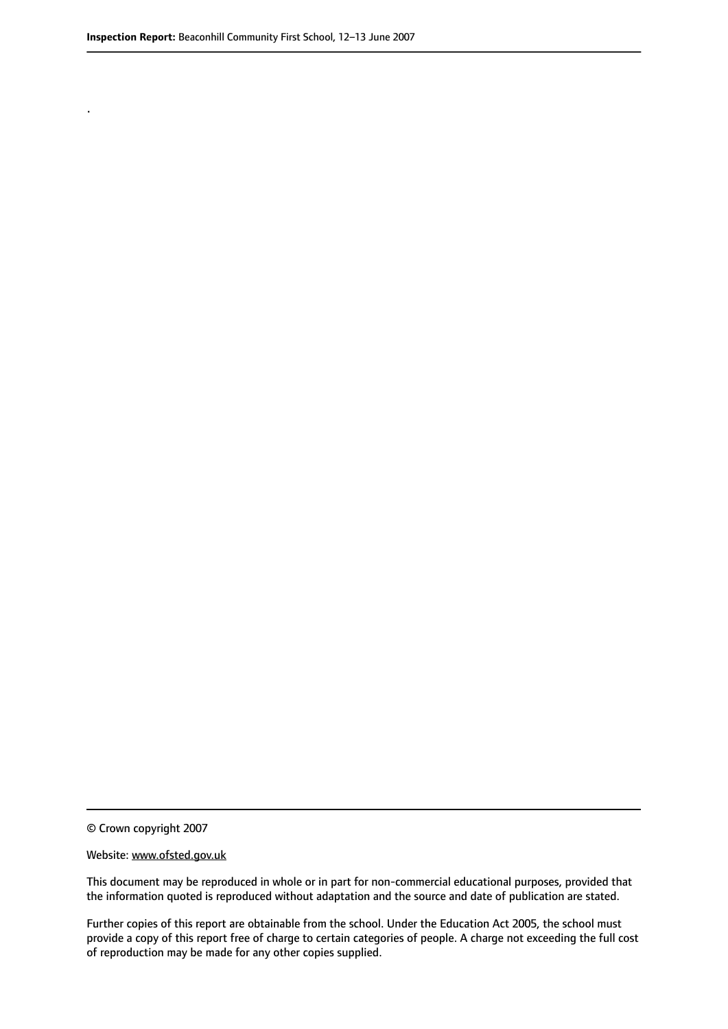.

© Crown copyright 2007

#### Website: www.ofsted.gov.uk

This document may be reproduced in whole or in part for non-commercial educational purposes, provided that the information quoted is reproduced without adaptation and the source and date of publication are stated.

Further copies of this report are obtainable from the school. Under the Education Act 2005, the school must provide a copy of this report free of charge to certain categories of people. A charge not exceeding the full cost of reproduction may be made for any other copies supplied.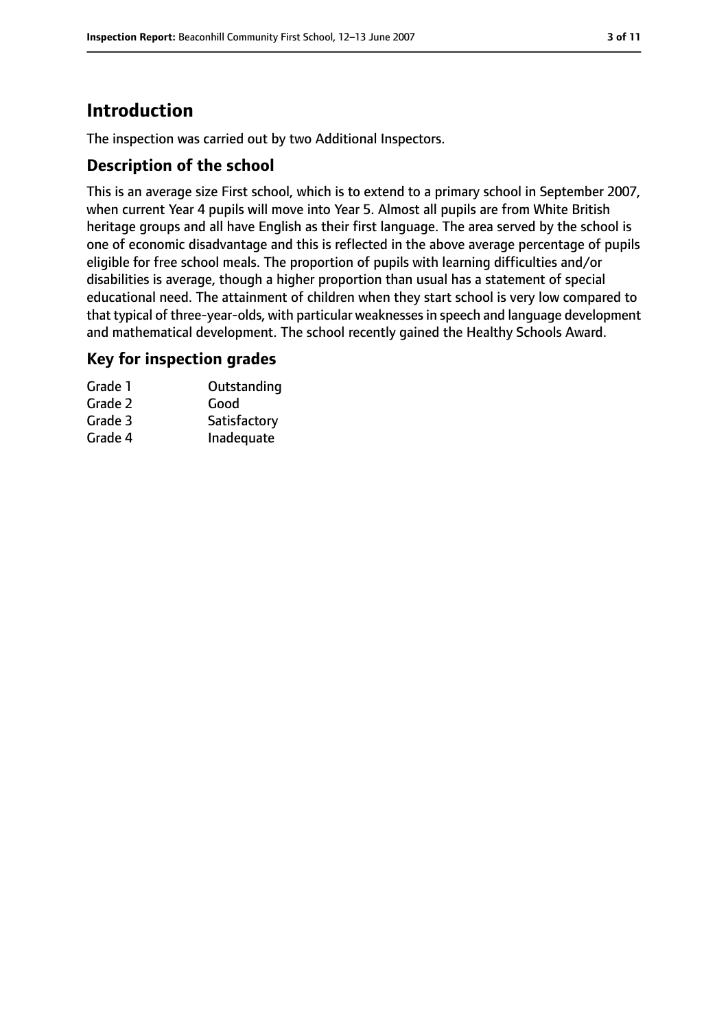# **Introduction**

The inspection was carried out by two Additional Inspectors.

## **Description of the school**

This is an average size First school, which is to extend to a primary school in September 2007, when current Year 4 pupils will move into Year 5. Almost all pupils are from White British heritage groups and all have English as their first language. The area served by the school is one of economic disadvantage and this is reflected in the above average percentage of pupils eligible for free school meals. The proportion of pupils with learning difficulties and/or disabilities is average, though a higher proportion than usual has a statement of special educational need. The attainment of children when they start school is very low compared to that typical of three-year-olds, with particular weaknessesin speech and language development and mathematical development. The school recently gained the Healthy Schools Award.

#### **Key for inspection grades**

| Grade 1 | Outstanding  |
|---------|--------------|
| Grade 2 | Good         |
| Grade 3 | Satisfactory |
| Grade 4 | Inadequate   |
|         |              |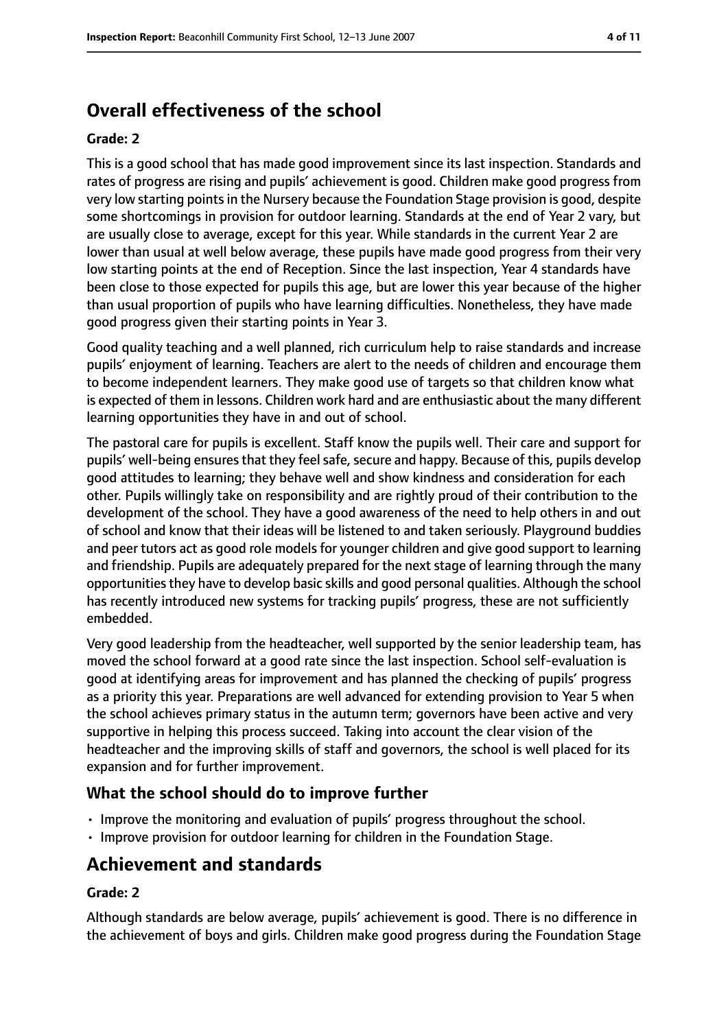# **Overall effectiveness of the school**

#### **Grade: 2**

This is a good school that has made good improvement since its last inspection. Standards and rates of progress are rising and pupils' achievement is good. Children make good progress from very low starting pointsin the Nursery because the Foundation Stage provision is good, despite some shortcomings in provision for outdoor learning. Standards at the end of Year 2 vary, but are usually close to average, except for this year. While standards in the current Year 2 are lower than usual at well below average, these pupils have made good progress from their very low starting points at the end of Reception. Since the last inspection, Year 4 standards have been close to those expected for pupils this age, but are lower this year because of the higher than usual proportion of pupils who have learning difficulties. Nonetheless, they have made good progress given their starting points in Year 3.

Good quality teaching and a well planned, rich curriculum help to raise standards and increase pupils' enjoyment of learning. Teachers are alert to the needs of children and encourage them to become independent learners. They make good use of targets so that children know what is expected of them in lessons. Children work hard and are enthusiastic about the many different learning opportunities they have in and out of school.

The pastoral care for pupils is excellent. Staff know the pupils well. Their care and support for pupils' well-being ensures that they feel safe, secure and happy. Because of this, pupils develop good attitudes to learning; they behave well and show kindness and consideration for each other. Pupils willingly take on responsibility and are rightly proud of their contribution to the development of the school. They have a good awareness of the need to help others in and out of school and know that their ideas will be listened to and taken seriously. Playground buddies and peer tutors act as good role models for younger children and give good support to learning and friendship. Pupils are adequately prepared for the next stage of learning through the many opportunities they have to develop basic skills and good personal qualities. Although the school has recently introduced new systems for tracking pupils' progress, these are not sufficiently embedded.

Very good leadership from the headteacher, well supported by the senior leadership team, has moved the school forward at a good rate since the last inspection. School self-evaluation is good at identifying areas for improvement and has planned the checking of pupils' progress as a priority this year. Preparations are well advanced for extending provision to Year 5 when the school achieves primary status in the autumn term; governors have been active and very supportive in helping this process succeed. Taking into account the clear vision of the headteacher and the improving skills of staff and governors, the school is well placed for its expansion and for further improvement.

#### **What the school should do to improve further**

- Improve the monitoring and evaluation of pupils' progress throughout the school.
- Improve provision for outdoor learning for children in the Foundation Stage.

# **Achievement and standards**

#### **Grade: 2**

Although standards are below average, pupils' achievement is good. There is no difference in the achievement of boys and girls. Children make good progress during the Foundation Stage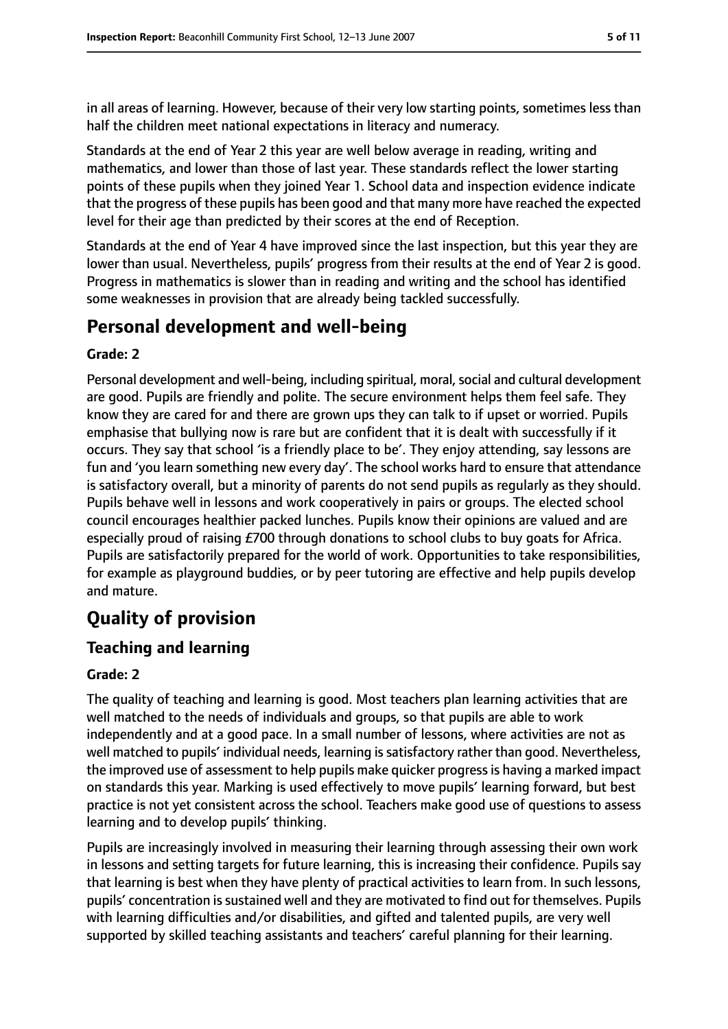in all areas of learning. However, because of their very low starting points, sometimes less than half the children meet national expectations in literacy and numeracy.

Standards at the end of Year 2 this year are well below average in reading, writing and mathematics, and lower than those of last year. These standards reflect the lower starting points of these pupils when they joined Year 1. School data and inspection evidence indicate that the progress of these pupils has been good and that many more have reached the expected level for their age than predicted by their scores at the end of Reception.

Standards at the end of Year 4 have improved since the last inspection, but this year they are lower than usual. Nevertheless, pupils' progress from their results at the end of Year 2 is good. Progress in mathematics is slower than in reading and writing and the school has identified some weaknesses in provision that are already being tackled successfully.

# **Personal development and well-being**

#### **Grade: 2**

Personal development and well-being, including spiritual, moral, social and cultural development are good. Pupils are friendly and polite. The secure environment helps them feel safe. They know they are cared for and there are grown ups they can talk to if upset or worried. Pupils emphasise that bullying now is rare but are confident that it is dealt with successfully if it occurs. They say that school 'is a friendly place to be'. They enjoy attending, say lessons are fun and 'you learn something new every day'. The school works hard to ensure that attendance is satisfactory overall, but a minority of parents do not send pupils as regularly as they should. Pupils behave well in lessons and work cooperatively in pairs or groups. The elected school council encourages healthier packed lunches. Pupils know their opinions are valued and are especially proud of raising £700 through donations to school clubs to buy goats for Africa. Pupils are satisfactorily prepared for the world of work. Opportunities to take responsibilities, for example as playground buddies, or by peer tutoring are effective and help pupils develop and mature.

# **Quality of provision**

## **Teaching and learning**

#### **Grade: 2**

The quality of teaching and learning is good. Most teachers plan learning activities that are well matched to the needs of individuals and groups, so that pupils are able to work independently and at a good pace. In a small number of lessons, where activities are not as well matched to pupils' individual needs, learning is satisfactory rather than good. Nevertheless, the improved use of assessment to help pupils make quicker progressis having a marked impact on standards this year. Marking is used effectively to move pupils' learning forward, but best practice is not yet consistent across the school. Teachers make good use of questions to assess learning and to develop pupils' thinking.

Pupils are increasingly involved in measuring their learning through assessing their own work in lessons and setting targets for future learning, this is increasing their confidence. Pupils say that learning is best when they have plenty of practical activities to learn from. In such lessons, pupils' concentration is sustained well and they are motivated to find out for themselves. Pupils with learning difficulties and/or disabilities, and gifted and talented pupils, are very well supported by skilled teaching assistants and teachers' careful planning for their learning.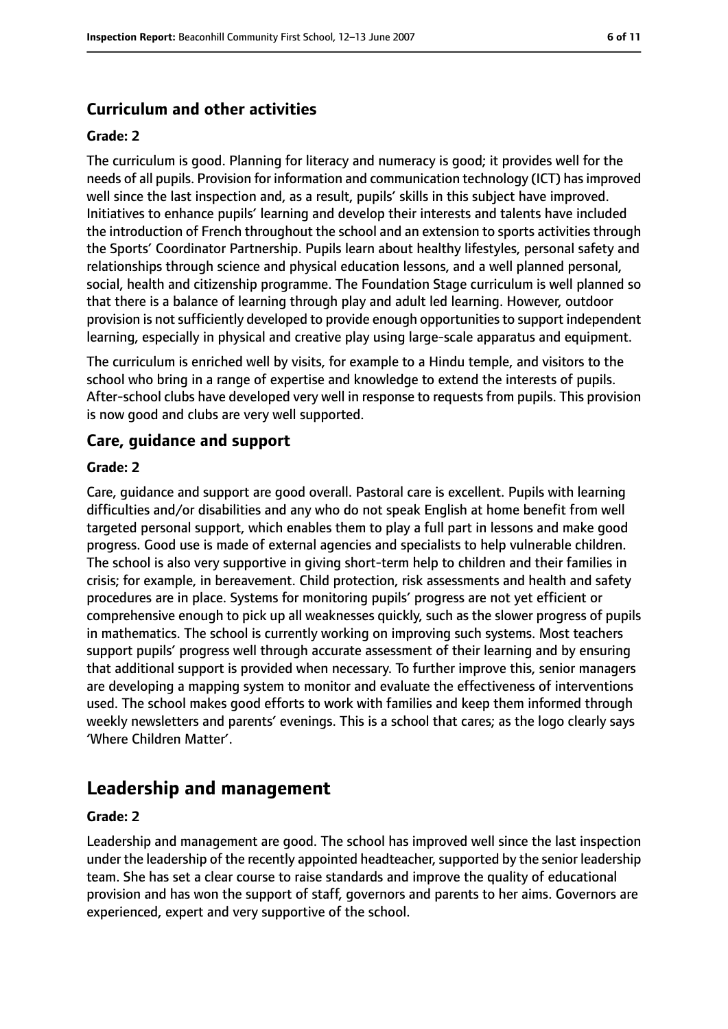## **Curriculum and other activities**

#### **Grade: 2**

The curriculum is good. Planning for literacy and numeracy is good; it provides well for the needs of all pupils. Provision for information and communication technology (ICT) hasimproved well since the last inspection and, as a result, pupils' skills in this subject have improved. Initiatives to enhance pupils' learning and develop their interests and talents have included the introduction of French throughout the school and an extension to sports activities through the Sports' Coordinator Partnership. Pupils learn about healthy lifestyles, personal safety and relationships through science and physical education lessons, and a well planned personal, social, health and citizenship programme. The Foundation Stage curriculum is well planned so that there is a balance of learning through play and adult led learning. However, outdoor provision is not sufficiently developed to provide enough opportunities to support independent learning, especially in physical and creative play using large-scale apparatus and equipment.

The curriculum is enriched well by visits, for example to a Hindu temple, and visitors to the school who bring in a range of expertise and knowledge to extend the interests of pupils. After-school clubs have developed very well in response to requests from pupils. This provision is now good and clubs are very well supported.

#### **Care, guidance and support**

#### **Grade: 2**

Care, guidance and support are good overall. Pastoral care is excellent. Pupils with learning difficulties and/or disabilities and any who do not speak English at home benefit from well targeted personal support, which enables them to play a full part in lessons and make good progress. Good use is made of external agencies and specialists to help vulnerable children. The school is also very supportive in giving short-term help to children and their families in crisis; for example, in bereavement. Child protection, risk assessments and health and safety procedures are in place. Systems for monitoring pupils' progress are not yet efficient or comprehensive enough to pick up all weaknesses quickly, such as the slower progress of pupils in mathematics. The school is currently working on improving such systems. Most teachers support pupils' progress well through accurate assessment of their learning and by ensuring that additional support is provided when necessary. To further improve this, senior managers are developing a mapping system to monitor and evaluate the effectiveness of interventions used. The school makes good efforts to work with families and keep them informed through weekly newsletters and parents' evenings. This is a school that cares; as the logo clearly says 'Where Children Matter'.

# **Leadership and management**

#### **Grade: 2**

Leadership and management are good. The school has improved well since the last inspection under the leadership of the recently appointed headteacher, supported by the senior leadership team. She has set a clear course to raise standards and improve the quality of educational provision and has won the support of staff, governors and parents to her aims. Governors are experienced, expert and very supportive of the school.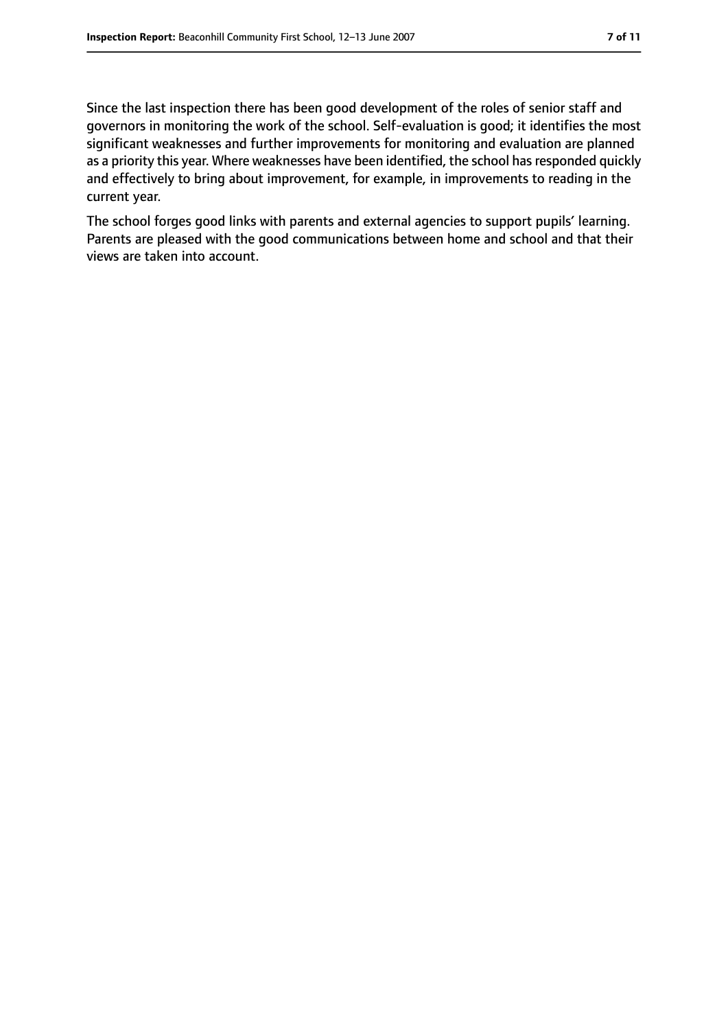Since the last inspection there has been good development of the roles of senior staff and governors in monitoring the work of the school. Self-evaluation is good; it identifies the most significant weaknesses and further improvements for monitoring and evaluation are planned as a priority this year. Where weaknesses have been identified, the school has responded quickly and effectively to bring about improvement, for example, in improvements to reading in the current year.

The school forges good links with parents and external agencies to support pupils' learning. Parents are pleased with the good communications between home and school and that their views are taken into account.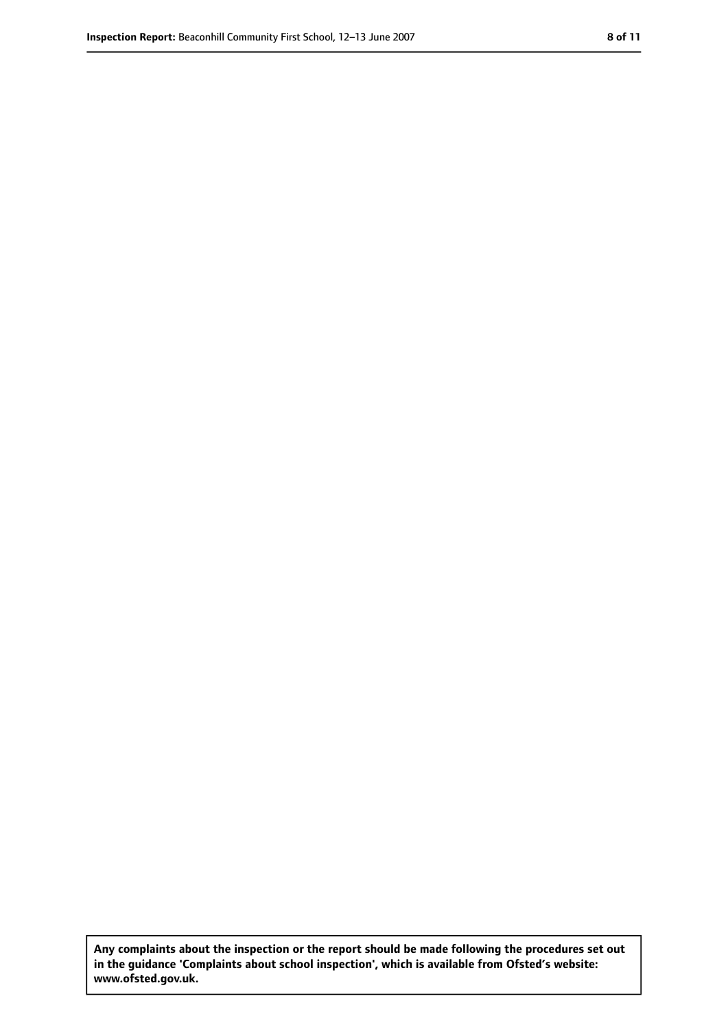**Any complaints about the inspection or the report should be made following the procedures set out in the guidance 'Complaints about school inspection', which is available from Ofsted's website: www.ofsted.gov.uk.**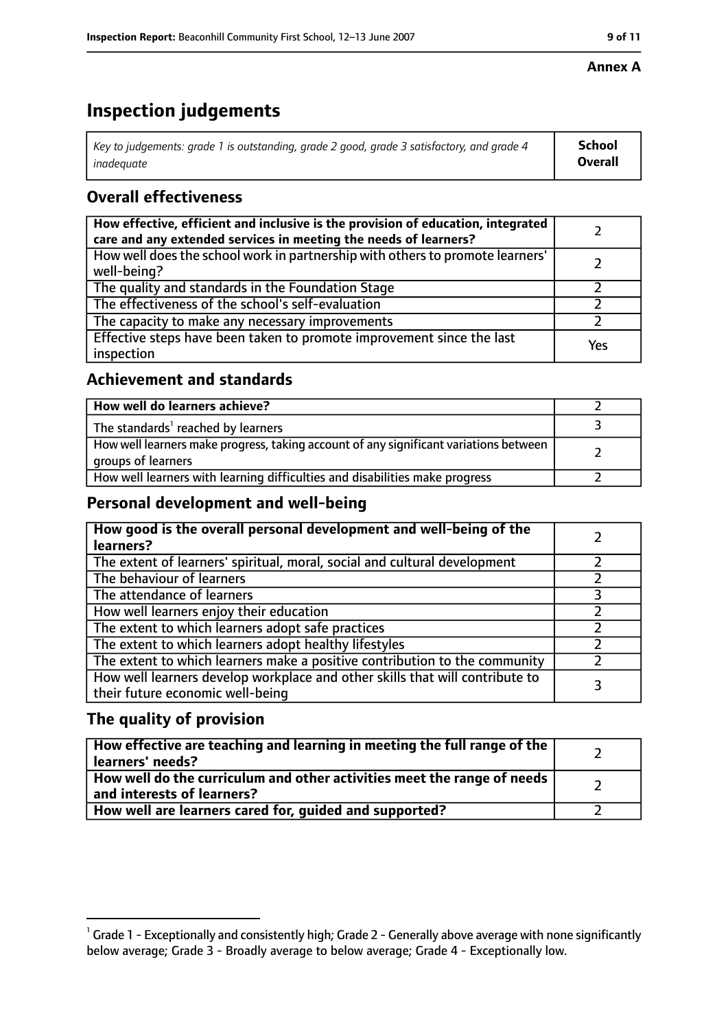#### **Annex A**

# **Inspection judgements**

| Key to judgements: grade 1 is outstanding, grade 2 good, grade 3 satisfactory, and grade 4 | School         |
|--------------------------------------------------------------------------------------------|----------------|
| inadequate                                                                                 | <b>Overall</b> |

## **Overall effectiveness**

| How effective, efficient and inclusive is the provision of education, integrated<br>care and any extended services in meeting the needs of learners? |     |
|------------------------------------------------------------------------------------------------------------------------------------------------------|-----|
| How well does the school work in partnership with others to promote learners'<br>well-being?                                                         |     |
| The quality and standards in the Foundation Stage                                                                                                    |     |
| The effectiveness of the school's self-evaluation                                                                                                    |     |
| The capacity to make any necessary improvements                                                                                                      |     |
| Effective steps have been taken to promote improvement since the last<br>inspection                                                                  | Yes |

#### **Achievement and standards**

| How well do learners achieve?                                                                               |  |
|-------------------------------------------------------------------------------------------------------------|--|
| The standards <sup>1</sup> reached by learners                                                              |  |
| How well learners make progress, taking account of any significant variations between<br>groups of learners |  |
| How well learners with learning difficulties and disabilities make progress                                 |  |

## **Personal development and well-being**

| How good is the overall personal development and well-being of the<br>learners?                                  |  |
|------------------------------------------------------------------------------------------------------------------|--|
| The extent of learners' spiritual, moral, social and cultural development                                        |  |
| The behaviour of learners                                                                                        |  |
| The attendance of learners                                                                                       |  |
| How well learners enjoy their education                                                                          |  |
| The extent to which learners adopt safe practices                                                                |  |
| The extent to which learners adopt healthy lifestyles                                                            |  |
| The extent to which learners make a positive contribution to the community                                       |  |
| How well learners develop workplace and other skills that will contribute to<br>their future economic well-being |  |

## **The quality of provision**

| How effective are teaching and learning in meeting the full range of the<br>learners' needs?          |  |
|-------------------------------------------------------------------------------------------------------|--|
| How well do the curriculum and other activities meet the range of needs<br>and interests of learners? |  |
| How well are learners cared for, quided and supported?                                                |  |

 $^1$  Grade 1 - Exceptionally and consistently high; Grade 2 - Generally above average with none significantly below average; Grade 3 - Broadly average to below average; Grade 4 - Exceptionally low.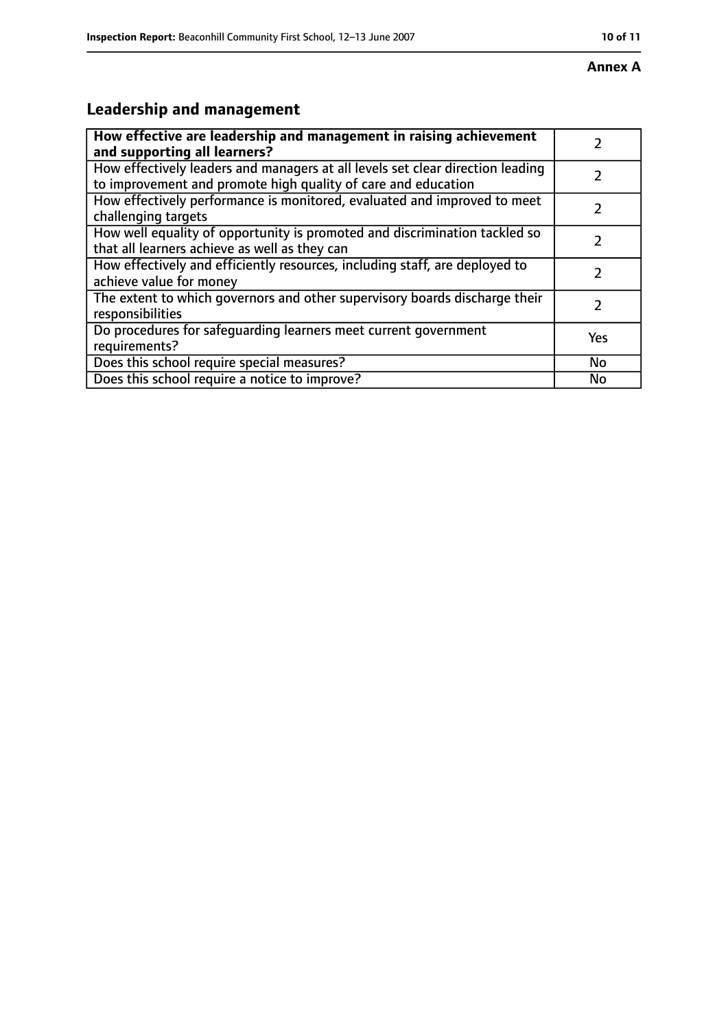#### **Annex A**

# **Leadership and management**

| How effective are leadership and management in raising achievement<br>and supporting all learners?                                              |     |
|-------------------------------------------------------------------------------------------------------------------------------------------------|-----|
| How effectively leaders and managers at all levels set clear direction leading<br>to improvement and promote high quality of care and education |     |
| How effectively performance is monitored, evaluated and improved to meet<br>challenging targets                                                 |     |
| How well equality of opportunity is promoted and discrimination tackled so<br>that all learners achieve as well as they can                     |     |
| How effectively and efficiently resources, including staff, are deployed to<br>achieve value for money                                          |     |
| The extent to which governors and other supervisory boards discharge their<br>responsibilities                                                  | 7   |
| Do procedures for safequarding learners meet current government<br>requirements?                                                                | Yes |
| Does this school require special measures?                                                                                                      | No  |
| Does this school require a notice to improve?                                                                                                   | No  |